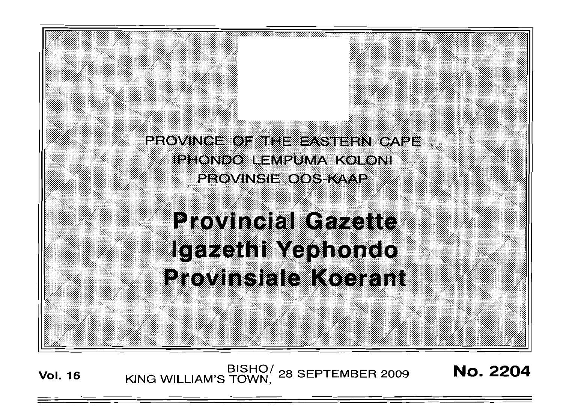PROVINCE OF THE EASTERN CAPE IPHONDO LEMPUMA KOLONI **PROVINGIE OOS KAAP** 

**Provincial Gazette** Igazethi Yephondo **Provinsiale Koerant** 

**Vol. 16** BISHO/ 28 SEPTEMBER 2009 **No. 2204**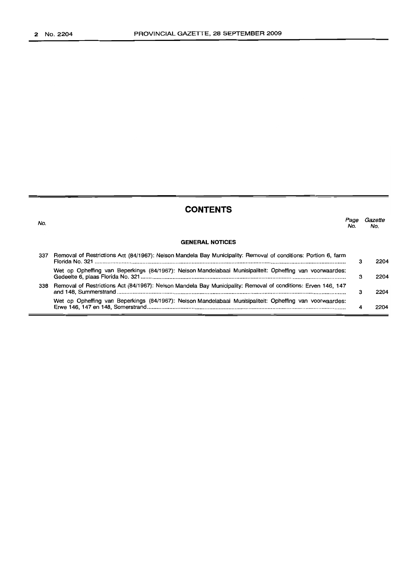No.

# **CONTENTS**

**GENERAL NOTICES** *Page Gazette* No. No. 337 Removal of Restrictions Act (84/1967): Nelson Mandela Bay Municipality: Removal of conditions: Portion 6, farm Florida No. 321 . Wet op Opheffing van Beperkings (84/1967): Nelson Mandelabaai Munisipaliteit: Opheffing van voorwaardes: Gedeelte 6, plaas Florida No. 321 . 338 Removal of Restrictions Act (84/1967): Nelson Mandela Bay Municipality: Removal of conditions: Erven 146, 147 and 148, Summerstrand . Wet op Opheffing van Beperkings (84/1967): Nelson Mandelabaai Munisipaliteit: Opheffing van voorwaardes: Erwe 146, 147 en 148, Somerstrand . 3 3 3 4 2204 2204 2204 2204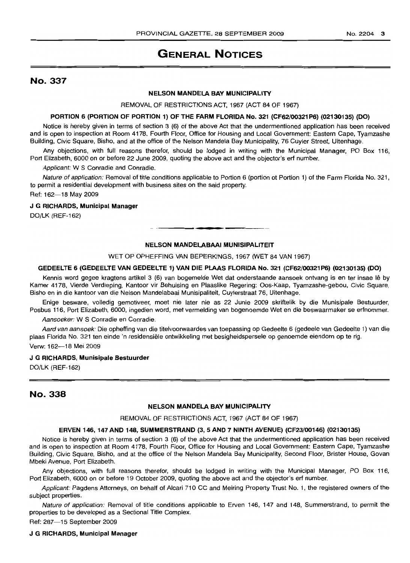# GENERAL NOTICES

# No. 337

### NELSON MANDELA BAY MUNICIPALITY

REMOVAL OF RESTRICTIONS ACT, 1967 (ACT 84 OF 1967)

#### PORTION 6 (PORTION OF PORTION 1) OF THE FARM FLORIDA No. 321 (CF62/00321 P6) (02130135) (DO)

Notice is hereby given in terms of section 3 (6) of the above Act that the undermentioned application has been received and is open to inspection at Room 4178. Fourth Floor, Office for Housing and Local Government: Eastern Cape, Tyamzashe Building, Civic Square, Bisho, and at the office of the Nelson Mandela Bay Municipality, 76 Cuyler Street, Uitenhage.

Any objections, with full reasons therefor, should be lodged in writing with the Municipal Manager, PO Box 116, Port Elizabeth, 6000 on or before 22 June 2009, quoting the above act and the objector's erf number.

Applicant: W S Conradie and Conradie.

Nature of application: Removal of title conditions applicable to Portion 6 (portion ot Portion 1) of the Farm Florida No. 321, to permit a residential development with business sites on the said property.

Ref: 162-18 May 2009

#### J G RICHARDS, Municipal Manager

DO/LK (REF-162)

#### NELSON MANDELABAAI MUNISIPALITEIT

**•**

WET OP OPHEFFING VAN BEPERKINGS, 1967 (WET 84 VAN 1967)

#### GEDEELTE 6 (GEDEELTE VAN GEDEELTE 1) VAN DIE PLAAS FLORIDA No. 321 (CF62/00321P6) (02130135) (DO)

Kennis word gegee kragtens artikel 3 (6) van bogemelde Wet dat onderstaande aansoek ontvang is en ter insae Iê by Kamer 4178, Vierde Verdieping, Kantoor vir Behuising en Plaaslike Regering: Oos-Kaap, Tyamzashe-gebou, Civic Square, Bisho en in die kantoor van die Nelson Mandelabaai Munisipaliteit, Cuylerstraat 76, Uitenhage.

Enige besware, volledig gemotiveer, moet nie later nie as 22 Junie 2009 skriftelik by die Munisipale Bestuurder, Posbus 116, Port Elizabeth, 6000, ingedien word, met vermelding van bogenoemde Wet en die beswaarmaker se erfnommer.

Aansoeker: W S Conradie en Conradie.

Aard van aansoek: Die opheffing van die titelvoorwaardes van toepassing op Gedeelte 6 (gedeele van Gedeelte 1) van die plaas Florida No. 321 ten einde 'n residensiele ontwikkeling met besigheidspersele op genoemde eiendom op te rig.

Verw: 162-18 Mei 2009

#### J G RICHARDS, Munisipale Bestuurder

DO/LK (REF-162)

## No. 338

#### NELSON MANDELA BAY MUNICIPALITY

REMOVAL OF RESTRICTIONS ACT, 1967 (ACT 84 OF 1967)

#### ERVEN 146, 147 AND 148, SUMMERSTRAND (3, 5 AND 7 NINTH AVENUE) (CF23/00146) (02130135)

Notice is hereby given in terms of section 3 (6) of the above Act that the undermentioned application has been received and is open to inspection at Room 4178, Fourth Floor, Office for Housing and Local Government: Eastern Cape, Tyamzashe Building, Civic Square, Bisho, and at the office of the Nelson Mandela Bay Municipality, Second Floor, Brister House, Govan Mbeki Avenue, Port Elizabeth.

Any objections, with full reasons therefor, should be lodged in writing with the Municipal Manager, PO Box 116, Port Elizabeth, 6000 on or before 19 October 2009, quoting the above act and the objector's erf number.

Applicant: Pagdens Attorneys, on behalf of Alcari 710 CC and Meiring Property Trust No. 1, the registered owners of the subject properties.

Nature of application: Removal of title conditions applicable to Erven 146, 147 and 148, Summerstrand, to permit the properties to be developed as a Sectional Title Complex.

Ref: 287-15 September 2009

#### J G RICHARDS, Municipal Manager